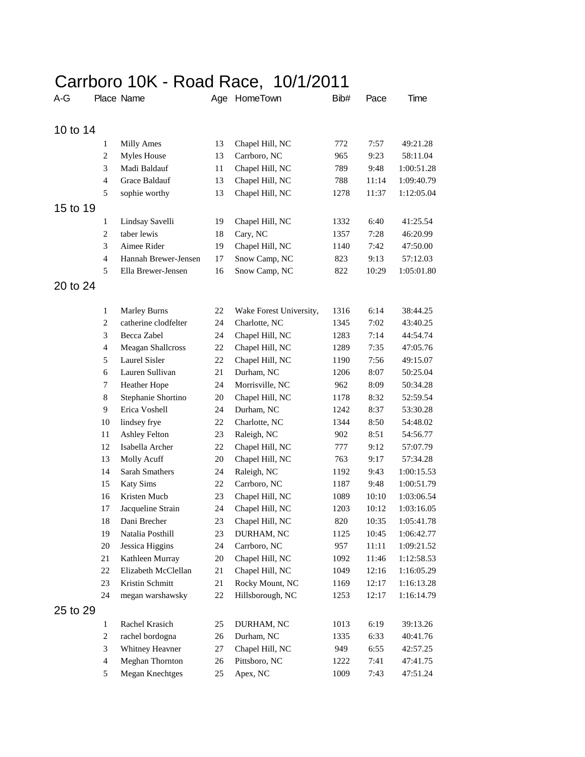## Carrboro 10K - Road Race, 10/1/2011

| A-G      |                | Place Name               | Age    | HomeTown                | Bib# | Pace  | Time       |
|----------|----------------|--------------------------|--------|-------------------------|------|-------|------------|
| 10 to 14 |                |                          |        |                         |      |       |            |
|          | $\mathbf{1}$   | <b>Milly Ames</b>        | 13     | Chapel Hill, NC         | 772  | 7:57  | 49:21.28   |
|          | $\overline{2}$ | Myles House              | 13     | Carrboro, NC            | 965  | 9:23  | 58:11.04   |
|          | 3              | Madi Baldauf             | 11     | Chapel Hill, NC         | 789  | 9:48  | 1:00:51.28 |
|          | $\overline{4}$ | Grace Baldauf            | 13     | Chapel Hill, NC         | 788  | 11:14 | 1:09:40.79 |
|          | 5              | sophie worthy            | 13     | Chapel Hill, NC         | 1278 | 11:37 | 1:12:05.04 |
| 15 to 19 |                |                          |        |                         |      |       |            |
|          | 1              | Lindsay Savelli          | 19     | Chapel Hill, NC         | 1332 | 6:40  | 41:25.54   |
|          | $\overline{2}$ | taber lewis              | 18     | Cary, NC                | 1357 | 7:28  | 46:20.99   |
|          | 3              | Aimee Rider              | 19     | Chapel Hill, NC         | 1140 | 7:42  | 47:50.00   |
|          | $\overline{4}$ | Hannah Brewer-Jensen     | 17     | Snow Camp, NC           | 823  | 9:13  | 57:12.03   |
|          | 5              | Ella Brewer-Jensen       | 16     | Snow Camp, NC           | 822  | 10:29 | 1:05:01.80 |
| 20 to 24 |                |                          |        |                         |      |       |            |
|          |                |                          |        |                         |      |       |            |
|          | $\mathbf{1}$   | <b>Marley Burns</b>      | 22     | Wake Forest University, | 1316 | 6:14  | 38:44.25   |
|          | $\overline{2}$ | catherine clodfelter     | 24     | Charlotte, NC           | 1345 | 7:02  | 43:40.25   |
|          | 3              | Becca Zabel              | 24     | Chapel Hill, NC         | 1283 | 7:14  | 44:54.74   |
|          | $\overline{4}$ | <b>Meagan Shallcross</b> | 22     | Chapel Hill, NC         | 1289 | 7:35  | 47:05.76   |
|          | 5              | Laurel Sisler            | 22     | Chapel Hill, NC         | 1190 | 7:56  | 49:15.07   |
|          | 6              | Lauren Sullivan          | 21     | Durham, NC              | 1206 | 8:07  | 50:25.04   |
|          | $\tau$         | Heather Hope             | 24     | Morrisville, NC         | 962  | 8:09  | 50:34.28   |
|          | $\,8\,$        | Stephanie Shortino       | 20     | Chapel Hill, NC         | 1178 | 8:32  | 52:59.54   |
|          | 9              | Erica Voshell            | 24     | Durham, NC              | 1242 | 8:37  | 53:30.28   |
|          | 10             | lindsey frye             | 22     | Charlotte, NC           | 1344 | 8:50  | 54:48.02   |
|          | 11             | <b>Ashley Felton</b>     | 23     | Raleigh, NC             | 902  | 8:51  | 54:56.77   |
|          | 12             | Isabella Archer          | 22     | Chapel Hill, NC         | 777  | 9:12  | 57:07.79   |
|          | 13             | Molly Acuff              | 20     | Chapel Hill, NC         | 763  | 9:17  | 57:34.28   |
|          | 14             | <b>Sarah Smathers</b>    | 24     | Raleigh, NC             | 1192 | 9:43  | 1:00:15.53 |
|          | 15             | <b>Katy Sims</b>         | 22     | Carrboro, NC            | 1187 | 9:48  | 1:00:51.79 |
|          | 16             | Kristen Mucb             | 23     | Chapel Hill, NC         | 1089 | 10:10 | 1:03:06.54 |
|          | 17             | Jacqueline Strain        | 24     | Chapel Hill, NC         | 1203 | 10:12 | 1:03:16.05 |
|          | 18             | Dani Brecher             | 23     | Chapel Hill, NC         | 820  | 10:35 | 1:05:41.78 |
|          | 19             | Natalia Posthill         | 23     | DURHAM, NC              | 1125 | 10:45 | 1:06:42.77 |
|          | $20\,$         | Jessica Higgins          | 24     | Carrboro, NC            | 957  | 11:11 | 1:09:21.52 |
|          | $21\,$         | Kathleen Murray          | $20\,$ | Chapel Hill, NC         | 1092 | 11:46 | 1:12:58.53 |
|          | 22             | Elizabeth McClellan      | 21     | Chapel Hill, NC         | 1049 | 12:16 | 1:16:05.29 |
|          | 23             | Kristin Schmitt          | 21     | Rocky Mount, NC         | 1169 | 12:17 | 1:16:13.28 |
|          | 24             | megan warshawsky         | $22\,$ | Hillsborough, NC        | 1253 | 12:17 | 1:16:14.79 |
| 25 to 29 |                |                          |        |                         |      |       |            |
|          | $\mathbf{1}$   | Rachel Krasich           | 25     | DURHAM, NC              | 1013 | 6:19  | 39:13.26   |
|          | $\overline{c}$ | rachel bordogna          | $26\,$ | Durham, NC              | 1335 | 6:33  | 40:41.76   |
|          | 3              | Whitney Heavner          | 27     | Chapel Hill, NC         | 949  | 6:55  | 42:57.25   |
|          | $\overline{4}$ | Meghan Thornton          | $26\,$ | Pittsboro, NC           | 1222 | 7:41  | 47:41.75   |
|          | 5              | <b>Megan Knechtges</b>   | 25     | Apex, NC                | 1009 | 7:43  | 47:51.24   |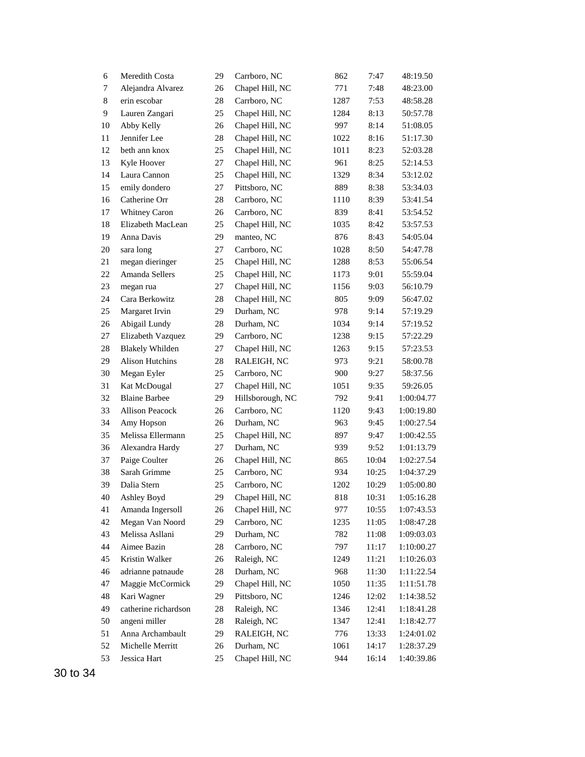| 6  | Meredith Costa         | 29 | Carrboro, NC     | 862  | 7:47  | 48:19.50   |
|----|------------------------|----|------------------|------|-------|------------|
| 7  | Alejandra Alvarez      | 26 | Chapel Hill, NC  | 771  | 7:48  | 48:23.00   |
| 8  | erin escobar           | 28 | Carrboro, NC     | 1287 | 7:53  | 48:58.28   |
| 9  | Lauren Zangari         | 25 | Chapel Hill, NC  | 1284 | 8:13  | 50:57.78   |
| 10 | Abby Kelly             | 26 | Chapel Hill, NC  | 997  | 8:14  | 51:08.05   |
| 11 | Jennifer Lee           | 28 | Chapel Hill, NC  | 1022 | 8:16  | 51:17.30   |
| 12 | beth ann knox          | 25 | Chapel Hill, NC  | 1011 | 8:23  | 52:03.28   |
| 13 | Kyle Hoover            | 27 | Chapel Hill, NC  | 961  | 8:25  | 52:14.53   |
| 14 | Laura Cannon           | 25 | Chapel Hill, NC  | 1329 | 8:34  | 53:12.02   |
| 15 | emily dondero          | 27 | Pittsboro, NC    | 889  | 8:38  | 53:34.03   |
| 16 | Catherine Orr          | 28 | Carrboro, NC     | 1110 | 8:39  | 53:41.54   |
| 17 | Whitney Caron          | 26 | Carrboro, NC     | 839  | 8:41  | 53:54.52   |
| 18 | Elizabeth MacLean      | 25 | Chapel Hill, NC  | 1035 | 8:42  | 53:57.53   |
| 19 | Anna Davis             | 29 | manteo, NC       | 876  | 8:43  | 54:05.04   |
| 20 | sara long              | 27 | Carrboro, NC     | 1028 | 8:50  | 54:47.78   |
| 21 | megan dieringer        | 25 | Chapel Hill, NC  | 1288 | 8:53  | 55:06.54   |
| 22 | Amanda Sellers         | 25 | Chapel Hill, NC  | 1173 | 9:01  | 55:59.04   |
| 23 | megan rua              | 27 | Chapel Hill, NC  | 1156 | 9:03  | 56:10.79   |
| 24 | Cara Berkowitz         | 28 | Chapel Hill, NC  | 805  | 9:09  | 56:47.02   |
| 25 | Margaret Irvin         | 29 | Durham, NC       | 978  | 9:14  | 57:19.29   |
| 26 | Abigail Lundy          | 28 | Durham, NC       | 1034 | 9:14  | 57:19.52   |
| 27 | Elizabeth Vazquez      | 29 | Carrboro, NC     | 1238 | 9:15  | 57:22.29   |
| 28 | <b>Blakely Whilden</b> | 27 | Chapel Hill, NC  | 1263 | 9:15  | 57:23.53   |
| 29 | <b>Alison Hutchins</b> | 28 | RALEIGH, NC      | 973  | 9:21  | 58:00.78   |
| 30 | Megan Eyler            | 25 | Carrboro, NC     | 900  | 9:27  | 58:37.56   |
| 31 | Kat McDougal           | 27 | Chapel Hill, NC  | 1051 | 9:35  | 59:26.05   |
| 32 | <b>Blaine Barbee</b>   | 29 | Hillsborough, NC | 792  | 9:41  | 1:00:04.77 |
| 33 | <b>Allison Peacock</b> | 26 | Carrboro, NC     | 1120 | 9:43  | 1:00:19.80 |
| 34 | Amy Hopson             | 26 | Durham, NC       | 963  | 9:45  | 1:00:27.54 |
| 35 | Melissa Ellermann      | 25 | Chapel Hill, NC  | 897  | 9:47  | 1:00:42.55 |
| 36 | Alexandra Hardy        | 27 | Durham, NC       | 939  | 9:52  | 1:01:13.79 |
| 37 | Paige Coulter          | 26 | Chapel Hill, NC  | 865  | 10:04 | 1:02:27.54 |
| 38 | Sarah Grimme           | 25 | Carrboro, NC     | 934  | 10:25 | 1:04:37.29 |
| 39 | Dalia Stern            | 25 | Carrboro, NC     | 1202 | 10:29 | 1:05:00.80 |
| 40 | Ashley Boyd            | 29 | Chapel Hill, NC  | 818  | 10:31 | 1:05:16.28 |
| 41 | Amanda Ingersoll       | 26 | Chapel Hill, NC  | 977  | 10:55 | 1:07:43.53 |
| 42 | Megan Van Noord        | 29 | Carrboro, NC     | 1235 | 11:05 | 1:08:47.28 |
| 43 | Melissa Asllani        | 29 | Durham, NC       | 782  | 11:08 | 1:09:03.03 |
| 44 | Aimee Bazin            | 28 | Carrboro, NC     | 797  | 11:17 | 1:10:00.27 |
| 45 | Kristin Walker         | 26 | Raleigh, NC      | 1249 | 11:21 | 1:10:26.03 |
| 46 | adrianne patnaude      | 28 | Durham, NC       | 968  | 11:30 | 1:11:22.54 |
| 47 | Maggie McCormick       | 29 | Chapel Hill, NC  | 1050 | 11:35 | 1:11:51.78 |
| 48 | Kari Wagner            | 29 | Pittsboro, NC    | 1246 | 12:02 | 1:14:38.52 |
| 49 | catherine richardson   | 28 | Raleigh, NC      | 1346 | 12:41 | 1:18:41.28 |
| 50 | angeni miller          | 28 | Raleigh, NC      | 1347 | 12:41 | 1:18:42.77 |
| 51 | Anna Archambault       | 29 | RALEIGH, NC      | 776  | 13:33 | 1:24:01.02 |
| 52 | Michelle Merritt       | 26 | Durham, NC       | 1061 | 14:17 | 1:28:37.29 |
| 53 | Jessica Hart           | 25 | Chapel Hill, NC  | 944  | 16:14 | 1:40:39.86 |
|    |                        |    |                  |      |       |            |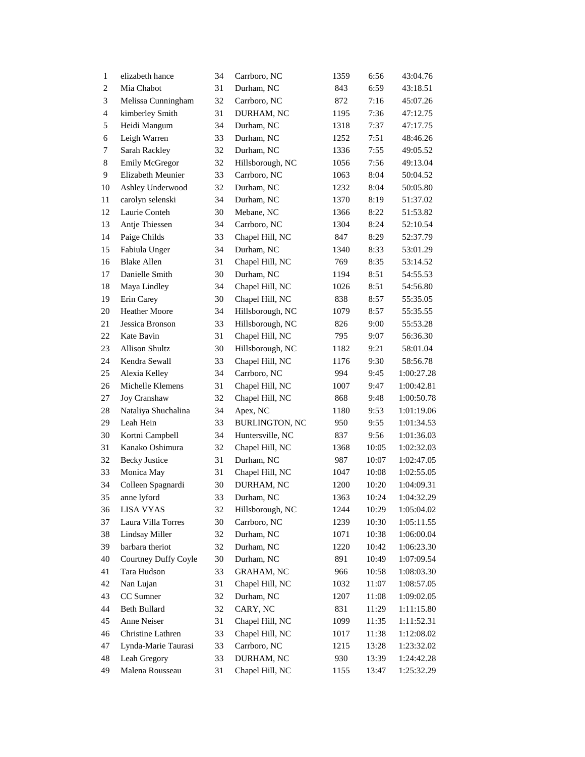| $\mathbf{1}$     | elizabeth hance       | 34 | Carrboro, NC          | 1359 | 6:56  | 43:04.76   |
|------------------|-----------------------|----|-----------------------|------|-------|------------|
| $\boldsymbol{2}$ | Mia Chabot            | 31 | Durham, NC            | 843  | 6:59  | 43:18.51   |
| 3                | Melissa Cunningham    | 32 | Carrboro, NC          | 872  | 7:16  | 45:07.26   |
| 4                | kimberley Smith       | 31 | DURHAM, NC            | 1195 | 7:36  | 47:12.75   |
| 5                | Heidi Mangum          | 34 | Durham, NC            | 1318 | 7:37  | 47:17.75   |
| 6                | Leigh Warren          | 33 | Durham, NC            | 1252 | 7:51  | 48:46.26   |
| 7                | Sarah Rackley         | 32 | Durham, NC            | 1336 | 7:55  | 49:05.52   |
| 8                | <b>Emily McGregor</b> | 32 | Hillsborough, NC      | 1056 | 7:56  | 49:13.04   |
| 9                | Elizabeth Meunier     | 33 | Carrboro, NC          | 1063 | 8:04  | 50:04.52   |
| 10               | Ashley Underwood      | 32 | Durham, NC            | 1232 | 8:04  | 50:05.80   |
| 11               | carolyn selenski      | 34 | Durham, NC            | 1370 | 8:19  | 51:37.02   |
| 12               | Laurie Conteh         | 30 | Mebane, NC            | 1366 | 8:22  | 51:53.82   |
| 13               | Antje Thiessen        | 34 | Carrboro, NC          | 1304 | 8:24  | 52:10.54   |
| 14               | Paige Childs          | 33 | Chapel Hill, NC       | 847  | 8:29  | 52:37.79   |
| 15               | Fabiula Unger         | 34 | Durham, NC            | 1340 | 8:33  | 53:01.29   |
| 16               | <b>Blake Allen</b>    | 31 | Chapel Hill, NC       | 769  | 8:35  | 53:14.52   |
| 17               | Danielle Smith        | 30 | Durham, NC            | 1194 | 8:51  | 54:55.53   |
| 18               | Maya Lindley          | 34 | Chapel Hill, NC       | 1026 | 8:51  | 54:56.80   |
| 19               | Erin Carey            | 30 | Chapel Hill, NC       | 838  | 8:57  | 55:35.05   |
| 20               | Heather Moore         | 34 | Hillsborough, NC      | 1079 | 8:57  | 55:35.55   |
| 21               | Jessica Bronson       | 33 | Hillsborough, NC      | 826  | 9:00  | 55:53.28   |
| 22               | Kate Bavin            | 31 | Chapel Hill, NC       | 795  | 9:07  | 56:36.30   |
| 23               | <b>Allison Shultz</b> | 30 | Hillsborough, NC      | 1182 | 9:21  | 58:01.04   |
| 24               | Kendra Sewall         | 33 | Chapel Hill, NC       | 1176 | 9:30  | 58:56.78   |
| 25               | Alexia Kelley         | 34 | Carrboro, NC          | 994  | 9:45  | 1:00:27.28 |
| 26               | Michelle Klemens      | 31 | Chapel Hill, NC       | 1007 | 9:47  | 1:00:42.81 |
| 27               | Joy Cranshaw          | 32 | Chapel Hill, NC       | 868  | 9:48  | 1:00:50.78 |
| 28               | Nataliya Shuchalina   | 34 | Apex, NC              | 1180 | 9:53  | 1:01:19.06 |
| 29               | Leah Hein             | 33 | <b>BURLINGTON, NC</b> | 950  | 9:55  | 1:01:34.53 |
| 30               | Kortni Campbell       | 34 | Huntersville, NC      | 837  | 9:56  | 1:01:36.03 |
| 31               | Kanako Oshimura       | 32 | Chapel Hill, NC       | 1368 | 10:05 | 1:02:32.03 |
| 32               | <b>Becky Justice</b>  | 31 | Durham, NC            | 987  | 10:07 | 1:02:47.05 |
| 33               | Monica May            | 31 | Chapel Hill, NC       | 1047 | 10:08 | 1:02:55.05 |
| 34               | Colleen Spagnardi     | 30 | DURHAM, NC            | 1200 | 10:20 | 1:04:09.31 |
| 35               | anne lyford           | 33 | Durham, NC            | 1363 | 10:24 | 1:04:32.29 |
| 36               | LISA VYAS             | 32 | Hillsborough, NC      | 1244 | 10:29 | 1:05:04.02 |
| 37               | Laura Villa Torres    | 30 | Carrboro, NC          | 1239 | 10:30 | 1:05:11.55 |
| 38               | Lindsay Miller        | 32 | Durham, NC            | 1071 | 10:38 | 1:06:00.04 |
| 39               | barbara theriot       | 32 | Durham, NC            | 1220 | 10:42 | 1:06:23.30 |
| 40               | Courtney Duffy Coyle  | 30 | Durham, NC            | 891  | 10:49 | 1:07:09.54 |
| 41               | Tara Hudson           | 33 | <b>GRAHAM, NC</b>     | 966  | 10:58 | 1:08:03.30 |
| 42               | Nan Lujan             | 31 | Chapel Hill, NC       | 1032 | 11:07 | 1:08:57.05 |
| 43               | CC Sumner             | 32 | Durham, NC            | 1207 | 11:08 | 1:09:02.05 |
| 44               | Beth Bullard          | 32 | CARY, NC              | 831  | 11:29 | 1:11:15.80 |
| 45               | Anne Neiser           | 31 | Chapel Hill, NC       | 1099 | 11:35 | 1:11:52.31 |
| 46               | Christine Lathren     | 33 | Chapel Hill, NC       | 1017 | 11:38 | 1:12:08.02 |
| 47               | Lynda-Marie Taurasi   | 33 | Carrboro, NC          | 1215 | 13:28 | 1:23:32.02 |
| 48               | Leah Gregory          | 33 | DURHAM, NC            | 930  | 13:39 | 1:24:42.28 |
| 49               | Malena Rousseau       | 31 | Chapel Hill, NC       | 1155 | 13:47 | 1:25:32.29 |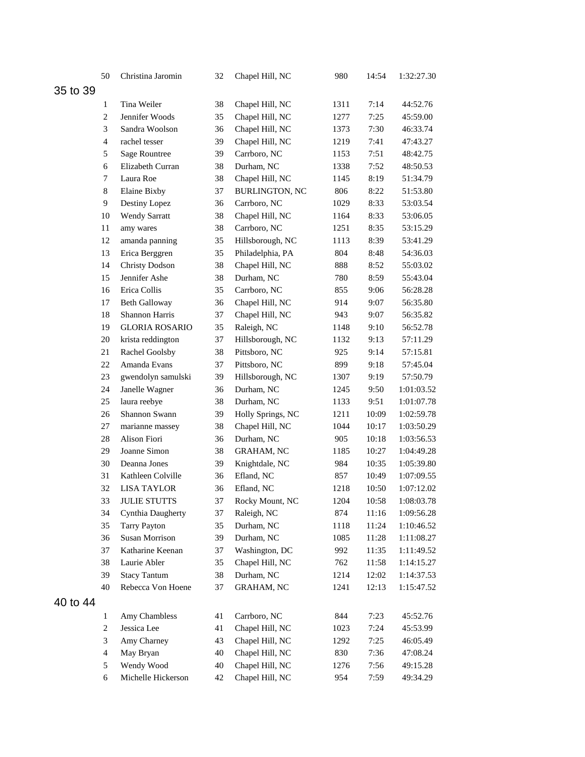|          | 50             | Christina Jaromin     | 32 | Chapel Hill, NC       | 980  | 14:54 | 1:32:27.30 |
|----------|----------------|-----------------------|----|-----------------------|------|-------|------------|
| 35 to 39 |                |                       |    |                       |      |       |            |
|          | $\mathbf{1}$   | Tina Weiler           | 38 | Chapel Hill, NC       | 1311 | 7:14  | 44:52.76   |
|          | $\overline{c}$ | Jennifer Woods        | 35 | Chapel Hill, NC       | 1277 | 7:25  | 45:59.00   |
|          | 3              | Sandra Woolson        | 36 | Chapel Hill, NC       | 1373 | 7:30  | 46:33.74   |
|          | $\overline{4}$ | rachel tesser         | 39 | Chapel Hill, NC       | 1219 | 7:41  | 47:43.27   |
|          | 5              | Sage Rountree         | 39 | Carrboro, NC          | 1153 | 7:51  | 48:42.75   |
|          | 6              | Elizabeth Curran      | 38 | Durham, NC            | 1338 | 7:52  | 48:50.53   |
|          | $\tau$         | Laura Roe             | 38 | Chapel Hill, NC       | 1145 | 8:19  | 51:34.79   |
|          | 8              | Elaine Bixby          | 37 | <b>BURLINGTON, NC</b> | 806  | 8:22  | 51:53.80   |
|          | 9              | Destiny Lopez         | 36 | Carrboro, NC          | 1029 | 8:33  | 53:03.54   |
|          | 10             | <b>Wendy Sarratt</b>  | 38 | Chapel Hill, NC       | 1164 | 8:33  | 53:06.05   |
|          | 11             | amy wares             | 38 | Carrboro, NC          | 1251 | 8:35  | 53:15.29   |
|          | 12             | amanda panning        | 35 | Hillsborough, NC      | 1113 | 8:39  | 53:41.29   |
|          | 13             | Erica Berggren        | 35 | Philadelphia, PA      | 804  | 8:48  | 54:36.03   |
|          | 14             | <b>Christy Dodson</b> | 38 | Chapel Hill, NC       | 888  | 8:52  | 55:03.02   |
|          | 15             | Jennifer Ashe         | 38 | Durham, NC            | 780  | 8:59  | 55:43.04   |
|          | 16             | Erica Collis          | 35 | Carrboro, NC          | 855  | 9:06  | 56:28.28   |
|          | 17             | <b>Beth Galloway</b>  | 36 | Chapel Hill, NC       | 914  | 9:07  | 56:35.80   |
|          | 18             | Shannon Harris        | 37 | Chapel Hill, NC       | 943  | 9:07  | 56:35.82   |
|          | 19             | <b>GLORIA ROSARIO</b> | 35 | Raleigh, NC           | 1148 | 9:10  | 56:52.78   |
|          | 20             | krista reddington     | 37 | Hillsborough, NC      | 1132 | 9:13  | 57:11.29   |
|          | 21             | Rachel Goolsby        | 38 | Pittsboro, NC         | 925  | 9:14  | 57:15.81   |
|          | 22             | Amanda Evans          | 37 | Pittsboro, NC         | 899  | 9:18  | 57:45.04   |
|          | 23             | gwendolyn samulski    | 39 | Hillsborough, NC      | 1307 | 9:19  | 57:50.79   |
|          | 24             | Janelle Wagner        | 36 | Durham, NC            | 1245 | 9:50  | 1:01:03.52 |
|          | 25             | laura reebye          | 38 | Durham, NC            | 1133 | 9:51  | 1:01:07.78 |
|          | 26             | Shannon Swann         | 39 | Holly Springs, NC     | 1211 | 10:09 | 1:02:59.78 |
|          | 27             | marianne massey       | 38 | Chapel Hill, NC       | 1044 | 10:17 | 1:03:50.29 |
|          | 28             | Alison Fiori          | 36 | Durham, NC            | 905  | 10:18 | 1:03:56.53 |
|          | 29             | Joanne Simon          | 38 | <b>GRAHAM, NC</b>     | 1185 | 10:27 | 1:04:49.28 |
|          | 30             | Deanna Jones          | 39 | Knightdale, NC        | 984  | 10:35 | 1:05:39.80 |
|          | 31             | Kathleen Colville     | 36 | Efland, NC            | 857  | 10:49 | 1:07:09.55 |
|          | 32             | <b>LISA TAYLOR</b>    | 36 | Efland, NC            | 1218 | 10:50 | 1:07:12.02 |
|          | 33             | <b>JULIE STUTTS</b>   | 37 | Rocky Mount, NC       | 1204 | 10:58 | 1:08:03.78 |
|          | 34             | Cynthia Daugherty     | 37 | Raleigh, NC           | 874  | 11:16 | 1:09:56.28 |
|          | 35             | <b>Tarry Payton</b>   | 35 | Durham, NC            | 1118 | 11:24 | 1:10:46.52 |
|          | 36             | Susan Morrison        | 39 | Durham, NC            | 1085 | 11:28 | 1:11:08.27 |
|          | 37             | Katharine Keenan      | 37 | Washington, DC        | 992  | 11:35 | 1:11:49.52 |
|          | 38             | Laurie Abler          | 35 | Chapel Hill, NC       | 762  | 11:58 | 1:14:15.27 |
|          | 39             | <b>Stacy Tantum</b>   | 38 | Durham, NC            | 1214 | 12:02 | 1:14:37.53 |
|          | 40             | Rebecca Von Hoene     | 37 | <b>GRAHAM, NC</b>     | 1241 | 12:13 | 1:15:47.52 |
| 40 to 44 |                |                       |    |                       |      |       |            |
|          | $\mathbf{1}$   | Amy Chambless         | 41 | Carrboro, NC          | 844  | 7:23  | 45:52.76   |
|          | 2              | Jessica Lee           | 41 | Chapel Hill, NC       | 1023 | 7:24  | 45:53.99   |
|          | 3              | Amy Charney           | 43 | Chapel Hill, NC       | 1292 | 7:25  | 46:05.49   |
|          | $\overline{4}$ | May Bryan             | 40 | Chapel Hill, NC       | 830  | 7:36  | 47:08.24   |
|          | 5              | Wendy Wood            | 40 | Chapel Hill, NC       | 1276 | 7:56  | 49:15.28   |
|          | 6              | Michelle Hickerson    | 42 | Chapel Hill, NC       | 954  | 7:59  | 49:34.29   |
|          |                |                       |    |                       |      |       |            |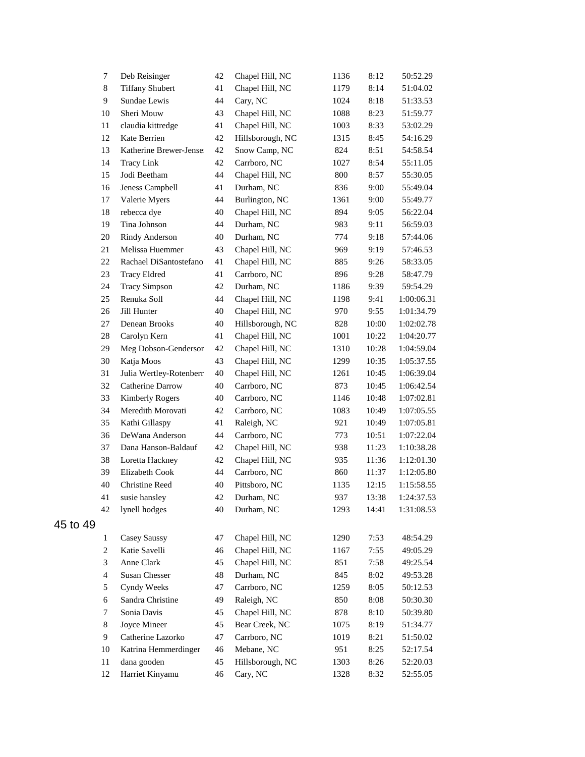|          | $\tau$         | Deb Reisinger           | 42 | Chapel Hill, NC  | 1136 | 8:12  | 50:52.29   |
|----------|----------------|-------------------------|----|------------------|------|-------|------------|
|          | 8              | <b>Tiffany Shubert</b>  | 41 | Chapel Hill, NC  | 1179 | 8:14  | 51:04.02   |
|          | 9              | Sundae Lewis            | 44 | Cary, NC         | 1024 | 8:18  | 51:33.53   |
|          | 10             | Sheri Mouw              | 43 | Chapel Hill, NC  | 1088 | 8:23  | 51:59.77   |
|          | 11             | claudia kittredge       | 41 | Chapel Hill, NC  | 1003 | 8:33  | 53:02.29   |
|          | 12             | Kate Berrien            | 42 | Hillsborough, NC | 1315 | 8:45  | 54:16.29   |
|          | 13             | Katherine Brewer-Jensel | 42 | Snow Camp, NC    | 824  | 8:51  | 54:58.54   |
|          | 14             | <b>Tracy Link</b>       | 42 | Carrboro, NC     | 1027 | 8:54  | 55:11.05   |
|          | 15             | Jodi Beetham            | 44 | Chapel Hill, NC  | 800  | 8:57  | 55:30.05   |
|          | 16             | Jeness Campbell         | 41 | Durham, NC       | 836  | 9:00  | 55:49.04   |
|          | 17             | Valerie Myers           | 44 | Burlington, NC   | 1361 | 9:00  | 55:49.77   |
|          | 18             | rebecca dye             | 40 | Chapel Hill, NC  | 894  | 9:05  | 56:22.04   |
|          | 19             | Tina Johnson            | 44 | Durham, NC       | 983  | 9:11  | 56:59.03   |
|          | 20             | Rindy Anderson          | 40 | Durham, NC       | 774  | 9:18  | 57:44.06   |
|          | 21             | Melissa Huemmer         | 43 | Chapel Hill, NC  | 969  | 9:19  | 57:46.53   |
|          | 22             | Rachael DiSantostefano  | 41 | Chapel Hill, NC  | 885  | 9:26  | 58:33.05   |
|          | 23             | <b>Tracy Eldred</b>     | 41 | Carrboro, NC     | 896  | 9:28  | 58:47.79   |
|          | 24             | <b>Tracy Simpson</b>    | 42 | Durham, NC       | 1186 | 9:39  | 59:54.29   |
|          | 25             | Renuka Soll             | 44 | Chapel Hill, NC  | 1198 | 9:41  | 1:00:06.31 |
|          | 26             | Jill Hunter             | 40 | Chapel Hill, NC  | 970  | 9:55  | 1:01:34.79 |
|          | 27             | Denean Brooks           | 40 | Hillsborough, NC | 828  | 10:00 | 1:02:02.78 |
|          | 28             | Carolyn Kern            | 41 | Chapel Hill, NC  | 1001 | 10:22 | 1:04:20.77 |
|          | 29             | Meg Dobson-Genderson    | 42 | Chapel Hill, NC  | 1310 | 10:28 | 1:04:59.04 |
|          | 30             | Katja Moos              | 43 | Chapel Hill, NC  | 1299 | 10:35 | 1:05:37.55 |
|          | 31             | Julia Wertley-Rotenberr | 40 | Chapel Hill, NC  | 1261 | 10:45 | 1:06:39.04 |
|          | 32             | Catherine Darrow        | 40 | Carrboro, NC     | 873  | 10:45 | 1:06:42.54 |
|          | 33             | <b>Kimberly Rogers</b>  | 40 | Carrboro, NC     | 1146 | 10:48 | 1:07:02.81 |
|          | 34             | Meredith Morovati       | 42 | Carrboro, NC     | 1083 | 10:49 | 1:07:05.55 |
|          | 35             | Kathi Gillaspy          | 41 | Raleigh, NC      | 921  | 10:49 | 1:07:05.81 |
|          | 36             | DeWana Anderson         | 44 | Carrboro, NC     | 773  | 10:51 | 1:07:22.04 |
|          | 37             | Dana Hanson-Baldauf     | 42 | Chapel Hill, NC  | 938  | 11:23 | 1:10:38.28 |
|          | 38             | Loretta Hackney         | 42 | Chapel Hill, NC  | 935  | 11:36 | 1:12:01.30 |
|          | 39             | Elizabeth Cook          | 44 | Carrboro, NC     | 860  | 11:37 | 1:12:05.80 |
|          | 40             | <b>Christine Reed</b>   | 40 | Pittsboro, NC    | 1135 | 12:15 | 1:15:58.55 |
|          | 41             | susie hansley           | 42 | Durham, NC       | 937  | 13:38 | 1:24:37.53 |
|          | 42             | lynell hodges           | 40 | Durham, NC       | 1293 | 14:41 | 1:31:08.53 |
| 45 to 49 |                |                         |    |                  |      |       |            |
|          | $\mathbf{1}$   | Casey Saussy            | 47 | Chapel Hill, NC  | 1290 | 7:53  | 48:54.29   |
|          | $\overline{c}$ | Katie Savelli           | 46 | Chapel Hill, NC  | 1167 | 7:55  | 49:05.29   |
|          | 3              | Anne Clark              | 45 | Chapel Hill, NC  | 851  | 7:58  | 49:25.54   |
|          | $\overline{4}$ | Susan Chesser           | 48 | Durham, NC       | 845  | 8:02  | 49:53.28   |
|          | 5              | Cyndy Weeks             | 47 | Carrboro, NC     | 1259 | 8:05  | 50:12.53   |
|          | 6              | Sandra Christine        | 49 | Raleigh, NC      | 850  | 8:08  | 50:30.30   |
|          | 7              | Sonia Davis             | 45 | Chapel Hill, NC  | 878  | 8:10  | 50:39.80   |
|          | 8              | Joyce Mineer            | 45 | Bear Creek, NC   | 1075 | 8:19  | 51:34.77   |
|          | 9              | Catherine Lazorko       | 47 | Carrboro, NC     | 1019 | 8:21  | 51:50.02   |
|          | 10             | Katrina Hemmerdinger    | 46 | Mebane, NC       | 951  | 8:25  | 52:17.54   |
|          | 11             | dana gooden             | 45 | Hillsborough, NC | 1303 | 8:26  | 52:20.03   |
|          | 12             | Harriet Kinyamu         | 46 | Cary, NC         | 1328 | 8:32  | 52:55.05   |
|          |                |                         |    |                  |      |       |            |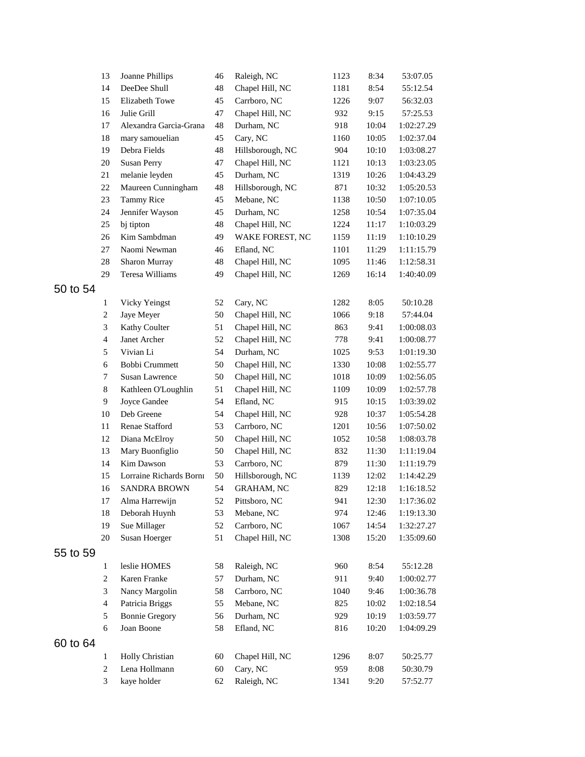|          | 13             | Joanne Phillips         | 46 | Raleigh, NC      | 1123 | 8:34  | 53:07.05   |
|----------|----------------|-------------------------|----|------------------|------|-------|------------|
|          | 14             | DeeDee Shull            | 48 | Chapel Hill, NC  | 1181 | 8:54  | 55:12.54   |
|          | 15             | <b>Elizabeth Towe</b>   | 45 | Carrboro, NC     | 1226 | 9:07  | 56:32.03   |
|          | 16             | Julie Grill             | 47 | Chapel Hill, NC  | 932  | 9:15  | 57:25.53   |
|          | 17             | Alexandra Garcia-Grana  | 48 | Durham, NC       | 918  | 10:04 | 1:02:27.29 |
|          | 18             | mary samouelian         | 45 | Cary, NC         | 1160 | 10:05 | 1:02:37.04 |
|          | 19             | Debra Fields            | 48 | Hillsborough, NC | 904  | 10:10 | 1:03:08.27 |
|          | 20             | Susan Perry             | 47 | Chapel Hill, NC  | 1121 | 10:13 | 1:03:23.05 |
|          | 21             | melanie leyden          | 45 | Durham, NC       | 1319 | 10:26 | 1:04:43.29 |
|          | 22             | Maureen Cunningham      | 48 | Hillsborough, NC | 871  | 10:32 | 1:05:20.53 |
|          | 23             | <b>Tammy Rice</b>       | 45 | Mebane, NC       | 1138 | 10:50 | 1:07:10.05 |
|          | 24             | Jennifer Wayson         | 45 | Durham, NC       | 1258 | 10:54 | 1:07:35.04 |
|          | 25             | bj tipton               | 48 | Chapel Hill, NC  | 1224 | 11:17 | 1:10:03.29 |
|          | 26             | Kim Sambdman            | 49 | WAKE FOREST, NC  | 1159 | 11:19 | 1:10:10.29 |
|          | 27             | Naomi Newman            | 46 | Efland, NC       | 1101 | 11:29 | 1:11:15.79 |
|          | 28             | Sharon Murray           | 48 | Chapel Hill, NC  | 1095 | 11:46 | 1:12:58.31 |
|          | 29             | Teresa Williams         | 49 | Chapel Hill, NC  | 1269 | 16:14 | 1:40:40.09 |
| 50 to 54 |                |                         |    |                  |      |       |            |
|          | $\mathbf{1}$   | Vicky Yeingst           | 52 | Cary, NC         | 1282 | 8:05  | 50:10.28   |
|          | $\overline{c}$ | Jaye Meyer              | 50 | Chapel Hill, NC  | 1066 | 9:18  | 57:44.04   |
|          | 3              | Kathy Coulter           | 51 | Chapel Hill, NC  | 863  | 9:41  | 1:00:08.03 |
|          | $\overline{4}$ | Janet Archer            | 52 | Chapel Hill, NC  | 778  | 9:41  | 1:00:08.77 |
|          | 5              | Vivian Li               | 54 | Durham, NC       | 1025 | 9:53  | 1:01:19.30 |
|          | 6              | Bobbi Crummett          | 50 | Chapel Hill, NC  | 1330 | 10:08 | 1:02:55.77 |
|          | 7              | Susan Lawrence          | 50 | Chapel Hill, NC  | 1018 | 10:09 | 1:02:56.05 |
|          | 8              | Kathleen O'Loughlin     | 51 | Chapel Hill, NC  | 1109 | 10:09 | 1:02:57.78 |
|          | 9              | Joyce Gandee            | 54 | Efland, NC       | 915  | 10:15 | 1:03:39.02 |
|          | 10             | Deb Greene              | 54 | Chapel Hill, NC  | 928  | 10:37 | 1:05:54.28 |
|          | 11             | Renae Stafford          | 53 | Carrboro, NC     | 1201 | 10:56 | 1:07:50.02 |
|          | 12             | Diana McElroy           | 50 | Chapel Hill, NC  | 1052 | 10:58 | 1:08:03.78 |
|          | 13             | Mary Buonfiglio         | 50 | Chapel Hill, NC  | 832  | 11:30 | 1:11:19.04 |
|          | 14             | Kim Dawson              | 53 | Carrboro, NC     | 879  | 11:30 | 1:11:19.79 |
|          | 15             | Lorraine Richards Borni | 50 | Hillsborough, NC | 1139 | 12:02 | 1:14:42.29 |
|          | 16             | <b>SANDRA BROWN</b>     | 54 | GRAHAM, NC       | 829  | 12:18 | 1:16:18.52 |
|          | 17             | Alma Harrewijn          | 52 | Pittsboro, NC    | 941  | 12:30 | 1:17:36.02 |
|          | 18             | Deborah Huynh           | 53 | Mebane, NC       | 974  | 12:46 | 1:19:13.30 |
|          | 19             | Sue Millager            | 52 | Carrboro, NC     | 1067 | 14:54 | 1:32:27.27 |
|          | 20             | Susan Hoerger           | 51 | Chapel Hill, NC  | 1308 | 15:20 | 1:35:09.60 |
| 55 to 59 |                |                         |    |                  |      |       |            |
|          | $\mathbf{1}$   | leslie HOMES            | 58 | Raleigh, NC      | 960  | 8:54  | 55:12.28   |
|          | $\overline{c}$ | Karen Franke            | 57 | Durham, NC       | 911  | 9:40  | 1:00:02.77 |
|          | 3              | Nancy Margolin          | 58 | Carrboro, NC     | 1040 | 9:46  | 1:00:36.78 |
|          | $\overline{4}$ | Patricia Briggs         | 55 | Mebane, NC       | 825  | 10:02 | 1:02:18.54 |
|          | 5              | <b>Bonnie Gregory</b>   | 56 | Durham, NC       | 929  | 10:19 | 1:03:59.77 |
|          | 6              | Joan Boone              | 58 | Efland, NC       | 816  | 10:20 | 1:04:09.29 |
| 60 to 64 |                |                         |    |                  |      |       |            |
|          | $\mathbf{1}$   | Holly Christian         | 60 | Chapel Hill, NC  | 1296 | 8:07  | 50:25.77   |
|          | $\overline{2}$ | Lena Hollmann           | 60 | Cary, NC         | 959  | 8:08  | 50:30.79   |
|          | 3              | kaye holder             | 62 | Raleigh, NC      | 1341 | 9:20  | 57:52.77   |
|          |                |                         |    |                  |      |       |            |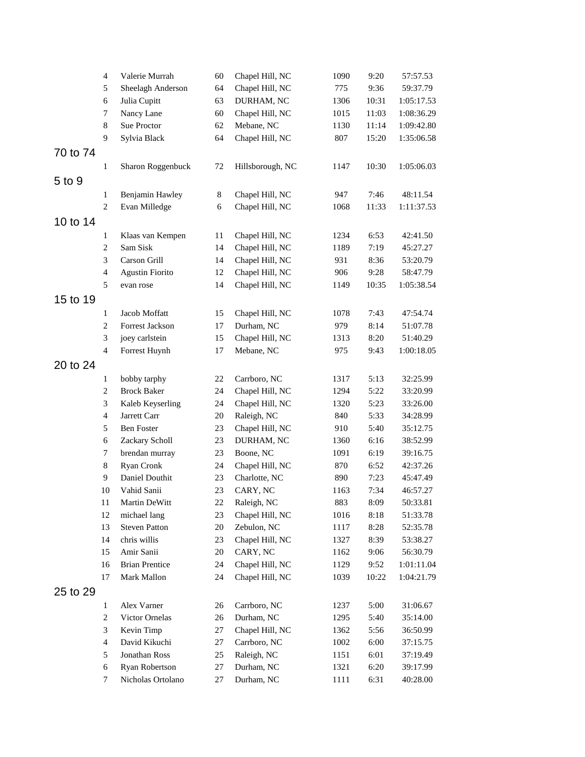|          | $\overline{4}$           | Valerie Murrah         | 60     | Chapel Hill, NC  | 1090 | 9:20  | 57:57.53   |
|----------|--------------------------|------------------------|--------|------------------|------|-------|------------|
|          | 5                        | Sheelagh Anderson      | 64     | Chapel Hill, NC  | 775  | 9:36  | 59:37.79   |
|          | 6                        | Julia Cupitt           | 63     | DURHAM, NC       | 1306 | 10:31 | 1:05:17.53 |
|          | 7                        | Nancy Lane             | 60     | Chapel Hill, NC  | 1015 | 11:03 | 1:08:36.29 |
|          | 8                        | Sue Proctor            | 62     | Mebane, NC       | 1130 | 11:14 | 1:09:42.80 |
|          | 9                        | Sylvia Black           | 64     | Chapel Hill, NC  | 807  | 15:20 | 1:35:06.58 |
| 70 to 74 |                          |                        |        |                  |      |       |            |
|          | $\mathbf{1}$             | Sharon Roggenbuck      | 72     | Hillsborough, NC | 1147 | 10:30 | 1:05:06.03 |
|          |                          |                        |        |                  |      |       |            |
| 5 to 9   |                          |                        |        |                  |      |       |            |
|          | $\mathbf{1}$             | Benjamin Hawley        | 8      | Chapel Hill, NC  | 947  | 7:46  | 48:11.54   |
|          | $\mathbf{2}$             | Evan Milledge          | 6      | Chapel Hill, NC  | 1068 | 11:33 | 1:11:37.53 |
| 10 to 14 |                          |                        |        |                  |      |       |            |
|          | $\mathbf{1}$             | Klaas van Kempen       | 11     | Chapel Hill, NC  | 1234 | 6:53  | 42:41.50   |
|          | $\mathbf{2}$             | Sam Sisk               | 14     | Chapel Hill, NC  | 1189 | 7:19  | 45:27.27   |
|          | 3                        | Carson Grill           | 14     | Chapel Hill, NC  | 931  | 8:36  | 53:20.79   |
|          | $\overline{\mathbf{4}}$  | <b>Agustin Fiorito</b> | 12     | Chapel Hill, NC  | 906  | 9:28  | 58:47.79   |
|          | 5                        | evan rose              | 14     | Chapel Hill, NC  | 1149 | 10:35 | 1:05:38.54 |
| 15 to 19 |                          |                        |        |                  |      |       |            |
|          | $\mathbf{1}$             | Jacob Moffatt          | 15     | Chapel Hill, NC  | 1078 | 7:43  | 47:54.74   |
|          | $\mathbf{2}$             | Forrest Jackson        | 17     | Durham, NC       | 979  | 8:14  | 51:07.78   |
|          | 3                        | joey carlstein         | 15     | Chapel Hill, NC  | 1313 | 8:20  | 51:40.29   |
|          | $\overline{\mathcal{L}}$ | Forrest Huynh          | 17     | Mebane, NC       | 975  | 9:43  | 1:00:18.05 |
| 20 to 24 |                          |                        |        |                  |      |       |            |
|          | $\mathbf{1}$             | bobby tarphy           | 22     | Carrboro, NC     | 1317 | 5:13  | 32:25.99   |
|          | $\mathbf{2}$             | <b>Brock Baker</b>     | 24     | Chapel Hill, NC  | 1294 | 5:22  | 33:20.99   |
|          | 3                        | Kaleb Keyserling       | 24     | Chapel Hill, NC  | 1320 | 5:23  | 33:26.00   |
|          | $\overline{\mathbf{4}}$  | Jarrett Carr           | 20     | Raleigh, NC      | 840  | 5:33  | 34:28.99   |
|          | 5                        | <b>Ben Foster</b>      | 23     | Chapel Hill, NC  | 910  | 5:40  | 35:12.75   |
|          | 6                        | Zackary Scholl         | 23     | DURHAM, NC       | 1360 | 6:16  | 38:52.99   |
|          | 7                        | brendan murray         | 23     | Boone, NC        | 1091 | 6:19  | 39:16.75   |
|          | $\,8\,$                  | Ryan Cronk             | 24     | Chapel Hill, NC  | 870  | 6:52  | 42:37.26   |
|          | 9                        | Daniel Douthit         | 23     | Charlotte, NC    | 890  | 7:23  | 45:47.49   |
|          | 10                       | Vahid Sanii            | 23     | CARY, NC         | 1163 | 7:34  | 46:57.27   |
|          | $11\,$                   | Martin DeWitt          | $22\,$ | Raleigh, NC      | 883  | 8:09  | 50:33.81   |
|          | $12\,$                   | michael lang           | 23     | Chapel Hill, NC  | 1016 | 8:18  | 51:33.78   |
|          | 13                       | <b>Steven Patton</b>   | 20     | Zebulon, NC      | 1117 | 8:28  | 52:35.78   |
|          | 14                       | chris willis           | 23     | Chapel Hill, NC  | 1327 | 8:39  | 53:38.27   |
|          | 15                       | Amir Sanii             | 20     | CARY, NC         | 1162 | 9:06  | 56:30.79   |
|          | 16                       | <b>Brian Prentice</b>  | 24     | Chapel Hill, NC  | 1129 | 9:52  | 1:01:11.04 |
|          | 17                       | Mark Mallon            | 24     | Chapel Hill, NC  | 1039 | 10:22 | 1:04:21.79 |
|          |                          |                        |        |                  |      |       |            |
| 25 to 29 |                          |                        |        |                  |      |       |            |
|          | $\mathbf{1}$             | Alex Varner            | 26     | Carrboro, NC     | 1237 | 5:00  | 31:06.67   |
|          | $\mathbf{2}$             | Victor Ornelas         | 26     | Durham, NC       | 1295 | 5:40  | 35:14.00   |
|          | 3                        | Kevin Timp             | 27     | Chapel Hill, NC  | 1362 | 5:56  | 36:50.99   |
|          | $\overline{\mathbf{4}}$  | David Kikuchi          | 27     | Carrboro, NC     | 1002 | 6:00  | 37:15.75   |
|          | 5                        | Jonathan Ross          | 25     | Raleigh, NC      | 1151 | 6:01  | 37:19.49   |
|          | 6                        | Ryan Robertson         | 27     | Durham, NC       | 1321 | 6:20  | 39:17.99   |
|          | 7                        | Nicholas Ortolano      | 27     | Durham, NC       | 1111 | 6:31  | 40:28.00   |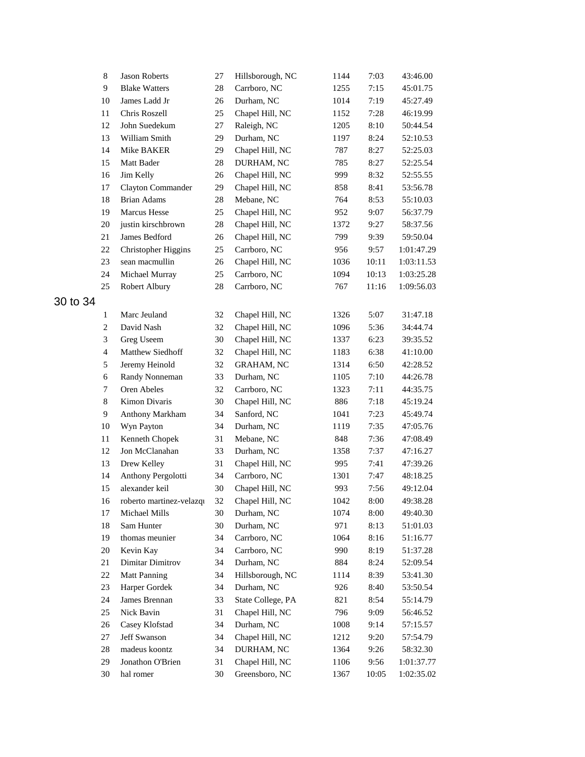|          | 8              | <b>Jason Roberts</b>     | 27 | Hillsborough, NC  | 1144 | 7:03  | 43:46.00   |
|----------|----------------|--------------------------|----|-------------------|------|-------|------------|
|          | 9              | <b>Blake Watters</b>     | 28 | Carrboro, NC      | 1255 | 7:15  | 45:01.75   |
|          | 10             | James Ladd Jr            | 26 | Durham, NC        | 1014 | 7:19  | 45:27.49   |
|          | 11             | Chris Roszell            | 25 | Chapel Hill, NC   | 1152 | 7:28  | 46:19.99   |
|          | 12             | John Suedekum            | 27 | Raleigh, NC       | 1205 | 8:10  | 50:44.54   |
|          | 13             | William Smith            | 29 | Durham, NC        | 1197 | 8:24  | 52:10.53   |
|          | 14             | Mike BAKER               | 29 | Chapel Hill, NC   | 787  | 8:27  | 52:25.03   |
|          | 15             | Matt Bader               | 28 | DURHAM, NC        | 785  | 8:27  | 52:25.54   |
|          | 16             | Jim Kelly                | 26 | Chapel Hill, NC   | 999  | 8:32  | 52:55.55   |
|          | 17             | Clayton Commander        | 29 | Chapel Hill, NC   | 858  | 8:41  | 53:56.78   |
|          | 18             | <b>Brian Adams</b>       | 28 | Mebane, NC        | 764  | 8:53  | 55:10.03   |
|          | 19             | Marcus Hesse             | 25 | Chapel Hill, NC   | 952  | 9:07  | 56:37.79   |
|          | 20             | justin kirschbrown       | 28 | Chapel Hill, NC   | 1372 | 9:27  | 58:37.56   |
|          | 21             | James Bedford            | 26 | Chapel Hill, NC   | 799  | 9:39  | 59:50.04   |
|          | 22             | Christopher Higgins      | 25 | Carrboro, NC      | 956  | 9:57  | 1:01:47.29 |
|          | 23             | sean macmullin           | 26 | Chapel Hill, NC   | 1036 | 10:11 | 1:03:11.53 |
|          | 24             | Michael Murray           | 25 | Carrboro, NC      | 1094 | 10:13 | 1:03:25.28 |
|          | 25             | Robert Albury            | 28 | Carrboro, NC      | 767  | 11:16 | 1:09:56.03 |
| 30 to 34 |                |                          |    |                   |      |       |            |
|          | 1              | Marc Jeuland             | 32 | Chapel Hill, NC   | 1326 | 5:07  | 31:47.18   |
|          | $\overline{c}$ | David Nash               | 32 | Chapel Hill, NC   | 1096 | 5:36  | 34:44.74   |
|          | 3              | Greg Useem               | 30 | Chapel Hill, NC   | 1337 | 6:23  | 39:35.52   |
|          | $\overline{4}$ | Matthew Siedhoff         | 32 | Chapel Hill, NC   | 1183 | 6:38  | 41:10.00   |
|          | 5              | Jeremy Heinold           | 32 | <b>GRAHAM, NC</b> | 1314 | 6:50  | 42:28.52   |
|          | 6              | Randy Nonneman           | 33 | Durham, NC        | 1105 | 7:10  | 44:26.78   |
|          | $\tau$         | Oren Abeles              | 32 | Carrboro, NC      | 1323 | 7:11  | 44:35.75   |
|          | 8              | Kimon Divaris            | 30 | Chapel Hill, NC   | 886  | 7:18  | 45:19.24   |
|          | 9              | Anthony Markham          | 34 | Sanford, NC       | 1041 | 7:23  | 45:49.74   |
|          | 10             | Wyn Payton               | 34 | Durham, NC        | 1119 | 7:35  | 47:05.76   |
|          | 11             | Kenneth Chopek           | 31 | Mebane, NC        | 848  | 7:36  | 47:08.49   |
|          | 12             | Jon McClanahan           | 33 | Durham, NC        | 1358 | 7:37  | 47:16.27   |
|          | 13             | Drew Kelley              | 31 | Chapel Hill, NC   | 995  | 7:41  | 47:39.26   |
|          | 14             | Anthony Pergolotti       | 34 | Carrboro, NC      | 1301 | 7:47  | 48:18.25   |
|          | 15             | alexander keil           | 30 | Chapel Hill, NC   | 993  | 7:56  | 49:12.04   |
|          | 16             | roberto martinez-velazqı | 32 | Chapel Hill, NC   | 1042 | 8:00  | 49:38.28   |
|          | 17             | Michael Mills            | 30 | Durham, NC        | 1074 | 8:00  | 49:40.30   |
|          | 18             | Sam Hunter               | 30 | Durham, NC        | 971  | 8:13  | 51:01.03   |
|          | 19             | thomas meunier           | 34 | Carrboro, NC      | 1064 | 8:16  | 51:16.77   |
|          | 20             | Kevin Kay                | 34 | Carrboro, NC      | 990  | 8:19  | 51:37.28   |
|          | 21             | Dimitar Dimitrov         | 34 | Durham, NC        | 884  | 8:24  | 52:09.54   |
|          | 22             | <b>Matt Panning</b>      | 34 | Hillsborough, NC  | 1114 | 8:39  | 53:41.30   |
|          | 23             | Harper Gordek            | 34 | Durham, NC        | 926  | 8:40  | 53:50.54   |
|          | 24             | James Brennan            | 33 | State College, PA | 821  | 8:54  | 55:14.79   |
|          | 25             | Nick Bavin               | 31 | Chapel Hill, NC   | 796  | 9:09  | 56:46.52   |
|          | 26             | Casey Klofstad           | 34 | Durham, NC        | 1008 | 9:14  | 57:15.57   |
|          | 27             | Jeff Swanson             | 34 | Chapel Hill, NC   | 1212 | 9:20  | 57:54.79   |
|          | 28             | madeus koontz            | 34 | DURHAM, NC        | 1364 | 9:26  | 58:32.30   |
|          | 29             | Jonathon O'Brien         | 31 | Chapel Hill, NC   | 1106 | 9:56  | 1:01:37.77 |
|          | 30             | hal romer                | 30 | Greensboro, NC    | 1367 | 10:05 | 1:02:35.02 |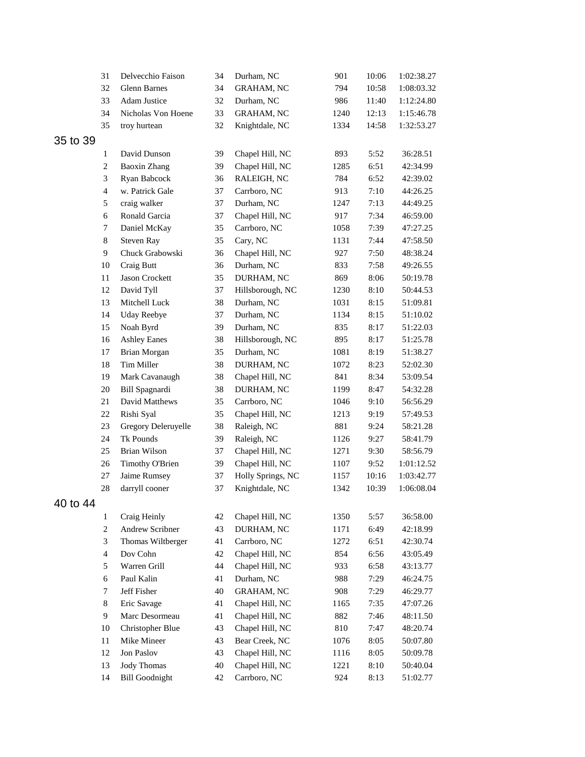|          | 31               | Delvecchio Faison     | 34 | Durham, NC        | 901  | 10:06 | 1:02:38.27 |
|----------|------------------|-----------------------|----|-------------------|------|-------|------------|
|          | 32               | Glenn Barnes          | 34 | <b>GRAHAM, NC</b> | 794  | 10:58 | 1:08:03.32 |
|          | 33               | Adam Justice          | 32 | Durham, NC        | 986  | 11:40 | 1:12:24.80 |
|          | 34               | Nicholas Von Hoene    | 33 | <b>GRAHAM, NC</b> | 1240 | 12:13 | 1:15:46.78 |
|          | 35               | troy hurtean          | 32 | Knightdale, NC    | 1334 | 14:58 | 1:32:53.27 |
| 35 to 39 |                  |                       |    |                   |      |       |            |
|          | $\mathbf{1}$     | David Dunson          | 39 | Chapel Hill, NC   | 893  | 5:52  | 36:28.51   |
|          | $\boldsymbol{2}$ | <b>Baoxin Zhang</b>   | 39 | Chapel Hill, NC   | 1285 | 6:51  | 42:34.99   |
|          | 3                | Ryan Babcock          | 36 | RALEIGH, NC       | 784  | 6:52  | 42:39.02   |
|          | $\overline{4}$   | w. Patrick Gale       | 37 | Carrboro, NC      | 913  | 7:10  | 44:26.25   |
|          | 5                | craig walker          | 37 | Durham, NC        | 1247 | 7:13  | 44:49.25   |
|          | 6                | Ronald Garcia         | 37 | Chapel Hill, NC   | 917  | 7:34  | 46:59.00   |
|          | $\tau$           | Daniel McKay          | 35 | Carrboro, NC      | 1058 | 7:39  | 47:27.25   |
|          | 8                | Steven Ray            | 35 | Cary, NC          | 1131 | 7:44  | 47:58.50   |
|          | $\overline{9}$   | Chuck Grabowski       | 36 | Chapel Hill, NC   | 927  | 7:50  | 48:38.24   |
|          | 10               | Craig Butt            | 36 | Durham, NC        | 833  | 7:58  | 49:26.55   |
|          | 11               | Jason Crockett        | 35 | DURHAM, NC        | 869  | 8:06  | 50:19.78   |
|          | 12               | David Tyll            | 37 | Hillsborough, NC  | 1230 | 8:10  | 50:44.53   |
|          | 13               | Mitchell Luck         | 38 | Durham, NC        | 1031 | 8:15  | 51:09.81   |
|          | 14               | <b>Uday Reebye</b>    | 37 | Durham, NC        | 1134 | 8:15  | 51:10.02   |
|          | 15               | Noah Byrd             | 39 | Durham, NC        | 835  | 8:17  | 51:22.03   |
|          | 16               | <b>Ashley Eanes</b>   | 38 | Hillsborough, NC  | 895  | 8:17  | 51:25.78   |
|          | 17               | Brian Morgan          | 35 | Durham, NC        | 1081 | 8:19  | 51:38.27   |
|          | 18               | Tim Miller            | 38 | DURHAM, NC        | 1072 | 8:23  | 52:02.30   |
|          | 19               | Mark Cavanaugh        | 38 | Chapel Hill, NC   | 841  | 8:34  | 53:09.54   |
|          | 20               | Bill Spagnardi        | 38 | DURHAM, NC        | 1199 | 8:47  | 54:32.28   |
|          | 21               | David Matthews        | 35 | Carrboro, NC      | 1046 | 9:10  | 56:56.29   |
|          | 22               | Rishi Syal            | 35 | Chapel Hill, NC   | 1213 | 9:19  | 57:49.53   |
|          | 23               | Gregory Deleruyelle   | 38 | Raleigh, NC       | 881  | 9:24  | 58:21.28   |
|          | 24               | Tk Pounds             | 39 | Raleigh, NC       | 1126 | 9:27  | 58:41.79   |
|          | 25               | Brian Wilson          | 37 | Chapel Hill, NC   | 1271 | 9:30  | 58:56.79   |
|          | 26               | Timothy O'Brien       | 39 | Chapel Hill, NC   | 1107 | 9:52  | 1:01:12.52 |
|          | 27               | Jaime Rumsey          | 37 | Holly Springs, NC | 1157 | 10:16 | 1:03:42.77 |
|          | 28               | darryll cooner        | 37 | Knightdale, NC    | 1342 | 10:39 | 1:06:08.04 |
| 40 to 44 |                  |                       |    |                   |      |       |            |
|          | $\mathbf{1}$     | Craig Heinly          | 42 | Chapel Hill, NC   | 1350 | 5:57  | 36:58.00   |
|          | $\overline{c}$   | Andrew Scribner       | 43 | DURHAM, NC        | 1171 | 6:49  | 42:18.99   |
|          | 3                | Thomas Wiltberger     | 41 | Carrboro, NC      | 1272 | 6:51  | 42:30.74   |
|          | $\overline{4}$   | Dov Cohn              | 42 | Chapel Hill, NC   | 854  | 6:56  | 43:05.49   |
|          | 5                | Warren Grill          | 44 | Chapel Hill, NC   | 933  | 6:58  | 43:13.77   |
|          | 6                | Paul Kalin            | 41 | Durham, NC        | 988  | 7:29  | 46:24.75   |
|          | 7                | Jeff Fisher           | 40 | <b>GRAHAM, NC</b> | 908  | 7:29  | 46:29.77   |
|          | $8\,$            | Eric Savage           | 41 | Chapel Hill, NC   | 1165 | 7:35  | 47:07.26   |
|          | 9                | Marc Desormeau        | 41 | Chapel Hill, NC   | 882  | 7:46  | 48:11.50   |
|          | 10               | Christopher Blue      | 43 | Chapel Hill, NC   | 810  | 7:47  | 48:20.74   |
|          | $11\,$           | Mike Mineer           | 43 | Bear Creek, NC    | 1076 | 8:05  | 50:07.80   |
|          | 12               | Jon Paslov            | 43 | Chapel Hill, NC   | 1116 | 8:05  | 50:09.78   |
|          | 13               | <b>Jody Thomas</b>    | 40 | Chapel Hill, NC   | 1221 | 8:10  | 50:40.04   |
|          | 14               | <b>Bill Goodnight</b> | 42 | Carrboro, NC      | 924  | 8:13  | 51:02.77   |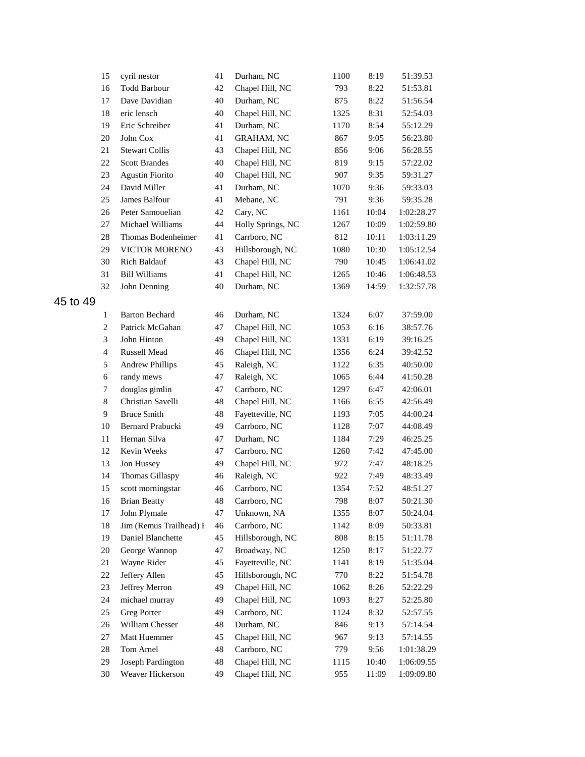|          | 15             | cyril nestor            | 41 | Durham, NC        | 1100 | 8:19  | 51:39.53   |
|----------|----------------|-------------------------|----|-------------------|------|-------|------------|
|          | 16             | <b>Todd Barbour</b>     | 42 | Chapel Hill, NC   | 793  | 8:22  | 51:53.81   |
|          | 17             | Dave Davidian           | 40 | Durham, NC        | 875  | 8:22  | 51:56.54   |
|          | 18             | eric lensch             | 40 | Chapel Hill, NC   | 1325 | 8:31  | 52:54.03   |
|          | 19             | Eric Schreiber          | 41 | Durham, NC        | 1170 | 8:54  | 55:12.29   |
|          | 20             | John Cox                | 41 | <b>GRAHAM, NC</b> | 867  | 9:05  | 56:23.80   |
|          | 21             | <b>Stewart Collis</b>   | 43 | Chapel Hill, NC   | 856  | 9:06  | 56:28.55   |
|          | 22             | <b>Scott Brandes</b>    | 40 | Chapel Hill, NC   | 819  | 9:15  | 57:22.02   |
|          | 23             | <b>Agustin Fiorito</b>  | 40 | Chapel Hill, NC   | 907  | 9:35  | 59:31.27   |
|          | 24             | David Miller            | 41 | Durham, NC        | 1070 | 9:36  | 59:33.03   |
|          | 25             | James Balfour           | 41 | Mebane, NC        | 791  | 9:36  | 59:35.28   |
|          | 26             | Peter Samouelian        | 42 | Cary, NC          | 1161 | 10:04 | 1:02:28.27 |
|          | 27             | Michael Williams        | 44 | Holly Springs, NC | 1267 | 10:09 | 1:02:59.80 |
|          | 28             | Thomas Bodenheimer      | 41 | Carrboro, NC      | 812  | 10:11 | 1:03:11.29 |
|          | 29             | VICTOR MORENO           | 43 | Hillsborough, NC  | 1080 | 10:30 | 1:05:12.54 |
|          | 30             | <b>Rich Baldauf</b>     | 43 | Chapel Hill, NC   | 790  | 10:45 | 1:06:41.02 |
|          | 31             | <b>Bill Williams</b>    | 41 | Chapel Hill, NC   | 1265 | 10:46 | 1:06:48.53 |
|          | 32             | John Denning            | 40 | Durham, NC        | 1369 | 14:59 | 1:32:57.78 |
| 45 to 49 |                |                         |    |                   |      |       |            |
|          | $\mathbf{1}$   | <b>Barton Bechard</b>   | 46 | Durham, NC        | 1324 | 6:07  | 37:59.00   |
|          | $\mathbf{2}$   | Patrick McGahan         | 47 | Chapel Hill, NC   | 1053 | 6:16  | 38:57.76   |
|          | 3              | John Hinton             | 49 | Chapel Hill, NC   | 1331 | 6:19  | 39:16.25   |
|          | $\overline{4}$ | Russell Mead            | 46 | Chapel Hill, NC   | 1356 | 6:24  | 39:42.52   |
|          | 5              | <b>Andrew Phillips</b>  | 45 | Raleigh, NC       | 1122 | 6:35  | 40:50.00   |
|          | 6              | randy mews              | 47 | Raleigh, NC       | 1065 | 6:44  | 41:50.28   |
|          | $\tau$         | douglas gimlin          | 47 | Carrboro, NC      | 1297 | 6:47  | 42:06.01   |
|          | 8              | Christian Savelli       | 48 | Chapel Hill, NC   | 1166 | 6:55  | 42:56.49   |
|          | $\overline{9}$ | <b>Bruce Smith</b>      | 48 | Fayetteville, NC  | 1193 | 7:05  | 44:00.24   |
|          | 10             | Bernard Prabucki        | 49 | Carrboro, NC      | 1128 | 7:07  | 44:08.49   |
|          | 11             | Hernan Silva            | 47 | Durham, NC        | 1184 | 7:29  | 46:25.25   |
|          | 12             | Kevin Weeks             | 47 | Carrboro, NC      | 1260 | 7:42  | 47:45.00   |
|          | 13             | Jon Hussey              | 49 | Chapel Hill, NC   | 972  | 7:47  | 48:18.25   |
|          | 14             | Thomas Gillaspy         | 46 | Raleigh, NC       | 922  | 7:49  | 48:33.49   |
|          | 15             | scott morningstar       | 46 | Carrboro, NC      | 1354 | 7:52  | 48:51.27   |
|          | 16             | <b>Brian Beatty</b>     | 48 | Carrboro, NC      | 798  | 8:07  | 50:21.30   |
|          | 17             | John Plymale            | 47 | Unknown, NA       | 1355 | 8:07  | 50:24.04   |
|          | 18             | Jim (Remus Trailhead) I | 46 | Carrboro, NC      | 1142 | 8:09  | 50:33.81   |
|          | 19             | Daniel Blanchette       | 45 | Hillsborough, NC  | 808  | 8:15  | 51:11.78   |
|          | 20             | George Wannop           | 47 | Broadway, NC      | 1250 | 8:17  | 51:22.77   |
|          | 21             | Wayne Rider             | 45 | Fayetteville, NC  | 1141 | 8:19  | 51:35.04   |
|          | 22             | Jeffery Allen           | 45 | Hillsborough, NC  | 770  | 8:22  | 51:54.78   |
|          | 23             | Jeffrey Merron          | 49 | Chapel Hill, NC   | 1062 | 8:26  | 52:22.29   |
|          | 24             | michael murray          | 49 | Chapel Hill, NC   | 1093 | 8:27  | 52:25.80   |
|          | 25             | <b>Greg Porter</b>      | 49 | Carrboro, NC      | 1124 | 8:32  | 52:57.55   |
|          | 26             | William Chesser         | 48 | Durham, NC        | 846  | 9:13  | 57:14.54   |
|          | 27             | Matt Huemmer            | 45 | Chapel Hill, NC   | 967  | 9:13  | 57:14.55   |
|          | 28             | Tom Arnel               | 48 | Carrboro, NC      | 779  | 9:56  | 1:01:38.29 |
|          | 29             | Joseph Pardington       | 48 | Chapel Hill, NC   | 1115 | 10:40 | 1:06:09.55 |
|          | 30             | Weaver Hickerson        | 49 | Chapel Hill, NC   | 955  | 11:09 | 1:09:09.80 |
|          |                |                         |    |                   |      |       |            |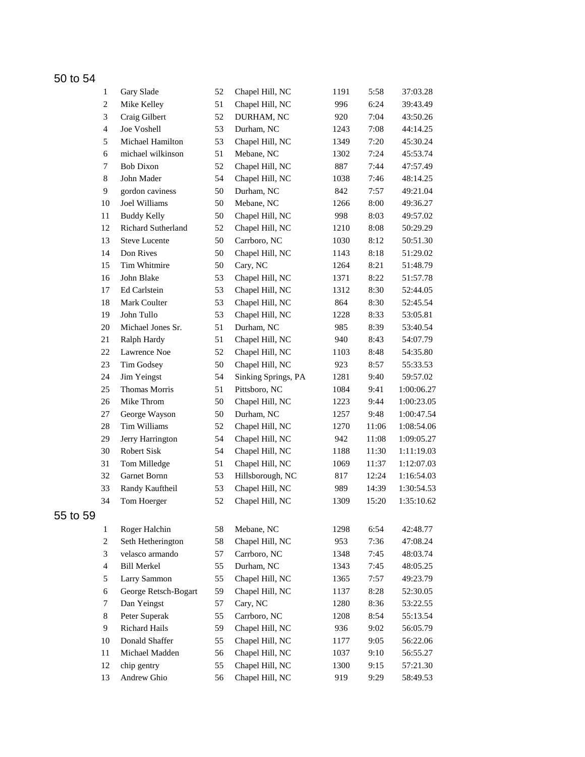## 50 to 54

|          | $\mathbf{1}$   | Gary Slade           | 52 | Chapel Hill, NC     | 1191 | 5:58  | 37:03.28   |
|----------|----------------|----------------------|----|---------------------|------|-------|------------|
|          | $\overline{c}$ | Mike Kelley          | 51 | Chapel Hill, NC     | 996  | 6:24  | 39:43.49   |
|          | 3              | Craig Gilbert        | 52 | DURHAM, NC          | 920  | 7:04  | 43:50.26   |
|          | $\overline{4}$ | Joe Voshell          | 53 | Durham, NC          | 1243 | 7:08  | 44:14.25   |
|          | 5              | Michael Hamilton     | 53 | Chapel Hill, NC     | 1349 | 7:20  | 45:30.24   |
|          | 6              | michael wilkinson    | 51 | Mebane, NC          | 1302 | 7:24  | 45:53.74   |
|          | $\tau$         | <b>Bob Dixon</b>     | 52 | Chapel Hill, NC     | 887  | 7:44  | 47:57.49   |
|          | 8              | John Mader           | 54 | Chapel Hill, NC     | 1038 | 7:46  | 48:14.25   |
|          | $\overline{9}$ | gordon caviness      | 50 | Durham, NC          | 842  | 7:57  | 49:21.04   |
|          | 10             | Joel Williams        | 50 | Mebane, NC          | 1266 | 8:00  | 49:36.27   |
|          | 11             | <b>Buddy Kelly</b>   | 50 | Chapel Hill, NC     | 998  | 8:03  | 49:57.02   |
|          | 12             | Richard Sutherland   | 52 | Chapel Hill, NC     | 1210 | 8:08  | 50:29.29   |
|          | 13             | <b>Steve Lucente</b> | 50 | Carrboro, NC        | 1030 | 8:12  | 50:51.30   |
|          | 14             | Don Rives            | 50 | Chapel Hill, NC     | 1143 | 8:18  | 51:29.02   |
|          | 15             | Tim Whitmire         | 50 | Cary, NC            | 1264 | 8:21  | 51:48.79   |
|          | 16             | John Blake           | 53 | Chapel Hill, NC     | 1371 | 8:22  | 51:57.78   |
|          | 17             | Ed Carlstein         | 53 | Chapel Hill, NC     | 1312 | 8:30  | 52:44.05   |
|          | 18             | Mark Coulter         | 53 | Chapel Hill, NC     | 864  | 8:30  | 52:45.54   |
|          | 19             | John Tullo           | 53 | Chapel Hill, NC     | 1228 | 8:33  | 53:05.81   |
|          | 20             | Michael Jones Sr.    | 51 | Durham, NC          | 985  | 8:39  | 53:40.54   |
|          | 21             | Ralph Hardy          | 51 | Chapel Hill, NC     | 940  | 8:43  | 54:07.79   |
|          | 22             | Lawrence Noe         | 52 | Chapel Hill, NC     | 1103 | 8:48  | 54:35.80   |
|          | 23             | Tim Godsey           | 50 | Chapel Hill, NC     | 923  | 8:57  | 55:33.53   |
|          | 24             | Jim Yeingst          | 54 | Sinking Springs, PA | 1281 | 9:40  | 59:57.02   |
|          | 25             | Thomas Morris        | 51 | Pittsboro, NC       | 1084 | 9:41  | 1:00:06.27 |
|          | 26             | Mike Throm           | 50 | Chapel Hill, NC     | 1223 | 9:44  | 1:00:23.05 |
|          | 27             | George Wayson        | 50 | Durham, NC          | 1257 | 9:48  | 1:00:47.54 |
|          | 28             | Tim Williams         | 52 | Chapel Hill, NC     | 1270 | 11:06 | 1:08:54.06 |
|          | 29             | Jerry Harrington     | 54 | Chapel Hill, NC     | 942  | 11:08 | 1:09:05.27 |
|          | 30             | Robert Sisk          | 54 | Chapel Hill, NC     | 1188 | 11:30 | 1:11:19.03 |
|          | 31             | Tom Milledge         | 51 | Chapel Hill, NC     | 1069 | 11:37 | 1:12:07.03 |
|          | 32             | Garnet Bornn         | 53 | Hillsborough, NC    | 817  | 12:24 | 1:16:54.03 |
|          | 33             | Randy Kauftheil      | 53 | Chapel Hill, NC     | 989  | 14:39 | 1:30:54.53 |
|          | 34             | Tom Hoerger          | 52 | Chapel Hill, NC     | 1309 | 15:20 | 1:35:10.62 |
| 55 to 59 |                |                      |    |                     |      |       |            |
|          | $\mathbf{1}$   | Roger Halchin        | 58 | Mebane, NC          | 1298 | 6:54  | 42:48.77   |
|          | $\overline{c}$ | Seth Hetherington    | 58 | Chapel Hill, NC     | 953  | 7:36  | 47:08.24   |
|          | 3              | velasco armando      | 57 | Carrboro, NC        | 1348 | 7:45  | 48:03.74   |
|          | $\overline{4}$ | <b>Bill Merkel</b>   | 55 | Durham, NC          | 1343 | 7:45  | 48:05.25   |
|          | 5              | Larry Sammon         | 55 | Chapel Hill, NC     | 1365 | 7:57  | 49:23.79   |
|          | 6              | George Retsch-Bogart | 59 | Chapel Hill, NC     | 1137 | 8:28  | 52:30.05   |
|          | $\tau$         | Dan Yeingst          | 57 | Cary, NC            | 1280 | 8:36  | 53:22.55   |
|          | 8              | Peter Superak        | 55 | Carrboro, NC        | 1208 | 8:54  | 55:13.54   |
|          | 9              | Richard Hails        | 59 | Chapel Hill, NC     | 936  | 9:02  | 56:05.79   |
|          | 10             | Donald Shaffer       | 55 | Chapel Hill, NC     | 1177 | 9:05  | 56:22.06   |
|          | 11             | Michael Madden       | 56 | Chapel Hill, NC     | 1037 | 9:10  | 56:55.27   |
|          | 12             | chip gentry          | 55 | Chapel Hill, NC     | 1300 | 9:15  | 57:21.30   |
|          | 13             | Andrew Ghio          | 56 | Chapel Hill, NC     | 919  | 9:29  | 58:49.53   |
|          |                |                      |    |                     |      |       |            |